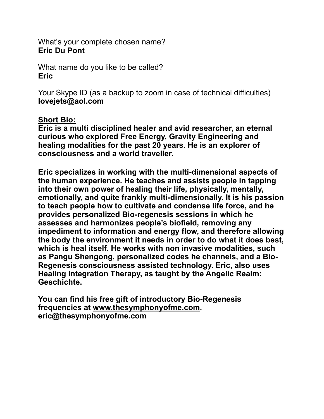What's your complete chosen name? **Eric Du Pont**

What name do you like to be called? **Eric**

Your Skype ID (as a backup to zoom in case of technical difficulties) **lovejets@aol.com**

## **Short Bio:**

**Eric is a multi disciplined healer and avid researcher, an eternal curious who explored Free Energy, Gravity Engineering and healing modalities for the past 20 years. He is an explorer of consciousness and a world traveller.**

**Eric specializes in working with the multi-dimensional aspects of the human experience. He teaches and assists people in tapping into their own power of healing their life, physically, mentally, emotionally, and quite frankly multi-dimensionally. It is his passion to teach people how to cultivate and condense life force, and he provides personalized Bio-regenesis sessions in which he assesses and harmonizes people's biofield, removing any impediment to information and energy flow, and therefore allowing the body the environment it needs in order to do what it does best, which is heal itself. He works with non invasive modalities, such as Pangu Shengong, personalized codes he channels, and a Bio-Regenesis consciousness assisted technology. Eric, also uses Healing Integration Therapy, as taught by the Angelic Realm: Geschichte.**

**You can find his free gift of introductory Bio-Regenesis frequencies at [www.thesymphonyofme.com.](http://www.thesymphonyofme.com) eric@thesymphonyofme.com**